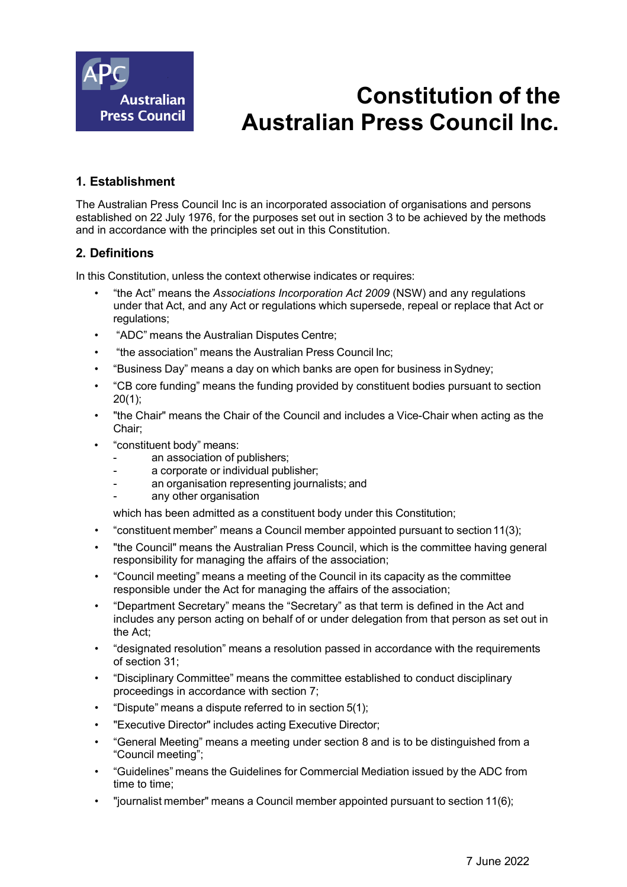

# **Constitution of the Australian Press Council Inc.**

# **1. Establishment**

The Australian Press Council Inc is an incorporated association of organisations and persons established on 22 July 1976, for the purposes set out in section 3 to be achieved by the methods and in accordance with the principles set out in this Constitution.

## **2. Definitions**

In this Constitution, unless the context otherwise indicates or requires:

- "the Act" means the *Associations Incorporation Act 2009* (NSW) and any regulations under that Act, and any Act or regulations which supersede, repeal or replace that Act or regulations;
- "ADC" means the Australian Disputes Centre;
- "the association" means the Australian Press Council Inc;
- "Business Day" means a day on which banks are open for business inSydney;
- "CB core funding" means the funding provided by constituent bodies pursuant to section 20(1);
- "the Chair" means the Chair of the Council and includes a Vice-Chair when acting as the Chair;
- "constituent body" means:
	- an association of publishers;
	- a corporate or individual publisher;
	- an organisation representing journalists; and
	- any other organisation

which has been admitted as a constituent body under this Constitution;

- "constituent member" means a Council member appointed pursuant to section11(3);
- "the Council" means the Australian Press Council, which is the committee having general responsibility for managing the affairs of the association;
- "Council meeting" means a meeting of the Council in its capacity as the committee responsible under the Act for managing the affairs of the association;
- "Department Secretary" means the "Secretary" as that term is defined in the Act and includes any person acting on behalf of or under delegation from that person as set out in the Act;
- "designated resolution" means a resolution passed in accordance with the requirements of section 31;
- "Disciplinary Committee" means the committee established to conduct disciplinary proceedings in accordance with section 7;
- "Dispute" means a dispute referred to in section 5(1);
- "Executive Director" includes acting Executive Director;
- "General Meeting" means a meeting under section 8 and is to be distinguished from a "Council meeting";
- "Guidelines" means the Guidelines for Commercial Mediation issued by the ADC from time to time;
- "journalist member" means a Council member appointed pursuant to section 11(6);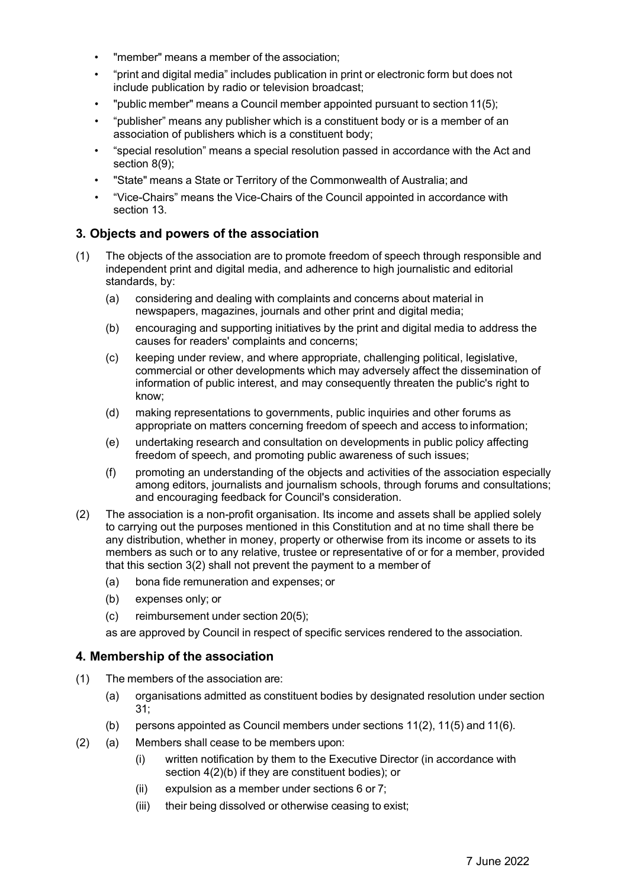- "member" means a member of the association;
- "print and digital media" includes publication in print or electronic form but does not include publication by radio or television broadcast;
- "public member" means a Council member appointed pursuant to section 11(5);
- "publisher" means any publisher which is a constituent body or is a member of an association of publishers which is a constituent body;
- "special resolution" means a special resolution passed in accordance with the Act and section 8(9);
- "State" means a State or Territory of the Commonwealth of Australia; and
- "Vice-Chairs" means the Vice-Chairs of the Council appointed in accordance with section 13.

### **3. Objects and powers of the association**

- (1) The objects of the association are to promote freedom of speech through responsible and independent print and digital media, and adherence to high journalistic and editorial standards, by:
	- (a) considering and dealing with complaints and concerns about material in newspapers, magazines, journals and other print and digital media;
	- (b) encouraging and supporting initiatives by the print and digital media to address the causes for readers' complaints and concerns;
	- (c) keeping under review, and where appropriate, challenging political, legislative, commercial or other developments which may adversely affect the dissemination of information of public interest, and may consequently threaten the public's right to know;
	- (d) making representations to governments, public inquiries and other forums as appropriate on matters concerning freedom of speech and access to information;
	- (e) undertaking research and consultation on developments in public policy affecting freedom of speech, and promoting public awareness of such issues;
	- (f) promoting an understanding of the objects and activities of the association especially among editors, journalists and journalism schools, through forums and consultations; and encouraging feedback for Council's consideration.
- (2) The association is a non-profit organisation. Its income and assets shall be applied solely to carrying out the purposes mentioned in this Constitution and at no time shall there be any distribution, whether in money, property or otherwise from its income or assets to its members as such or to any relative, trustee or representative of or for a member, provided that this section 3(2) shall not prevent the payment to a member of
	- (a) bona fide remuneration and expenses; or
	- (b) expenses only; or
	- (c) reimbursement under section 20(5);

as are approved by Council in respect of specific services rendered to the association.

#### **4. Membership of the association**

- (1) The members of the association are:
	- (a) organisations admitted as constituent bodies by designated resolution under section 31;
	- (b) persons appointed as Council members under sections 11(2), 11(5) and 11(6).
- (2) (a) Members shall cease to be members upon:
	- (i) written notification by them to the Executive Director (in accordance with section 4(2)(b) if they are constituent bodies); or
	- (ii) expulsion as a member under sections 6 or 7;
	- (iii) their being dissolved or otherwise ceasing to exist;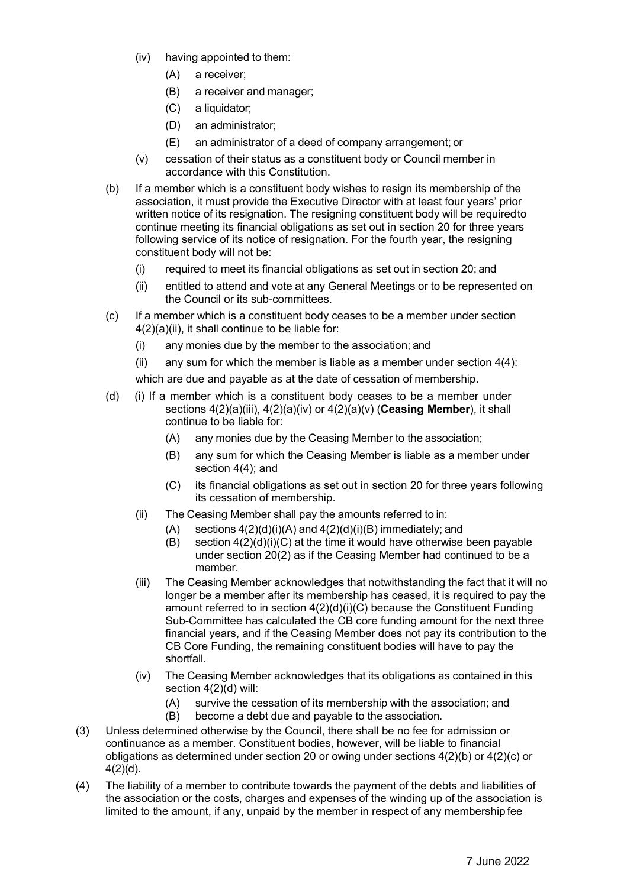- (iv) having appointed to them:
	- (A) a receiver;
	- (B) a receiver and manager;
	- (C) a liquidator;
	- (D) an administrator;
	- (E) an administrator of a deed of company arrangement; or
- (v) cessation of their status as a constituent body or Council member in accordance with this Constitution.
- (b) If a member which is a constituent body wishes to resign its membership of the association, it must provide the Executive Director with at least four years' prior written notice of its resignation. The resigning constituent body will be requiredto continue meeting its financial obligations as set out in section 20 for three years following service of its notice of resignation. For the fourth year, the resigning constituent body will not be:
	- (i) required to meet its financial obligations as set out in section 20; and
	- (ii) entitled to attend and vote at any General Meetings or to be represented on the Council or its sub-committees.
- (c) If a member which is a constituent body ceases to be a member under section 4(2)(a)(ii), it shall continue to be liable for:
	- (i) any monies due by the member to the association; and
	- (ii) any sum for which the member is liable as a member under section  $4(4)$ :

which are due and payable as at the date of cessation of membership.

- (d) (i) If a member which is a constituent body ceases to be a member under sections 4(2)(a)(iii), 4(2)(a)(iv) or 4(2)(a)(v) (**Ceasing Member**), it shall continue to be liable for:
	- (A) any monies due by the Ceasing Member to the association;
	- (B) any sum for which the Ceasing Member is liable as a member under section 4(4); and
	- (C) its financial obligations as set out in section 20 for three years following its cessation of membership.
	- (ii) The Ceasing Member shall pay the amounts referred to in:
		- $(A)$  sections  $4(2)(d)(i)(A)$  and  $4(2)(d)(i)(B)$  immediately; and
		- (B) section  $4(2)(d)(i)(C)$  at the time it would have otherwise been payable under section 20(2) as if the Ceasing Member had continued to be a member.
	- (iii) The Ceasing Member acknowledges that notwithstanding the fact that it will no longer be a member after its membership has ceased, it is required to pay the amount referred to in section 4(2)(d)(i)(C) because the Constituent Funding Sub-Committee has calculated the CB core funding amount for the next three financial years, and if the Ceasing Member does not pay its contribution to the CB Core Funding, the remaining constituent bodies will have to pay the shortfall.
	- (iv) The Ceasing Member acknowledges that its obligations as contained in this section 4(2)(d) will:
		- (A) survive the cessation of its membership with the association; and
		- (B) become a debt due and payable to the association.
- (3) Unless determined otherwise by the Council, there shall be no fee for admission or continuance as a member. Constituent bodies, however, will be liable to financial obligations as determined under section 20 or owing under sections 4(2)(b) or 4(2)(c) or 4(2)(d).
- (4) The liability of a member to contribute towards the payment of the debts and liabilities of the association or the costs, charges and expenses of the winding up of the association is limited to the amount, if any, unpaid by the member in respect of any membership fee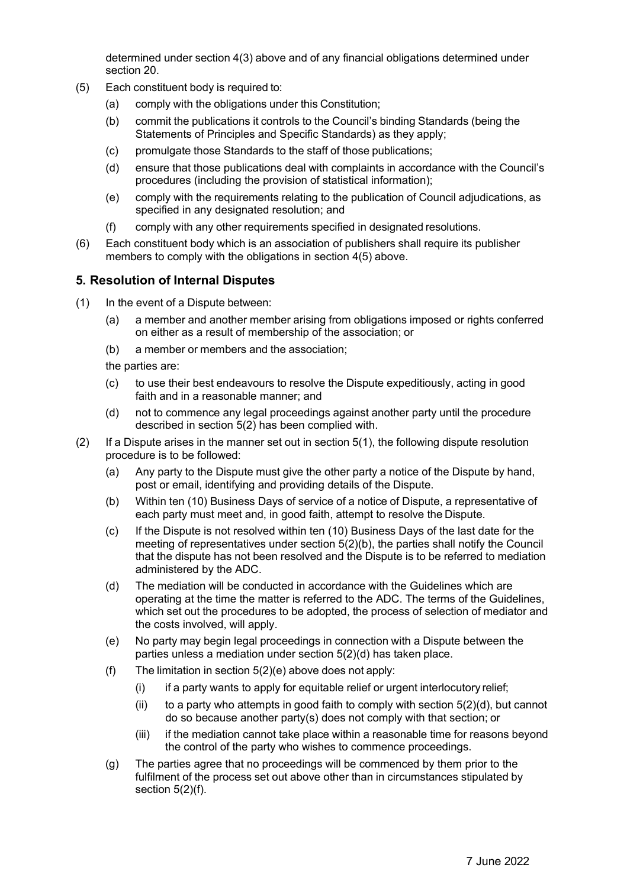determined under section 4(3) above and of any financial obligations determined under section 20.

- (5) Each constituent body is required to:
	- (a) comply with the obligations under this Constitution;
	- (b) commit the publications it controls to the Council's binding Standards (being the Statements of Principles and Specific Standards) as they apply;
	- (c) promulgate those Standards to the staff of those publications;
	- (d) ensure that those publications deal with complaints in accordance with the Council's procedures (including the provision of statistical information);
	- (e) comply with the requirements relating to the publication of Council adjudications, as specified in any designated resolution; and
	- (f) comply with any other requirements specified in designated resolutions.
- (6) Each constituent body which is an association of publishers shall require its publisher members to comply with the obligations in section 4(5) above.

### **5. Resolution of Internal Disputes**

- (1) In the event of a Dispute between:
	- (a) a member and another member arising from obligations imposed or rights conferred on either as a result of membership of the association; or
	- (b) a member or members and the association;
	- the parties are:
	- (c) to use their best endeavours to resolve the Dispute expeditiously, acting in good faith and in a reasonable manner; and
	- (d) not to commence any legal proceedings against another party until the procedure described in section 5(2) has been complied with.
- $(2)$  If a Dispute arises in the manner set out in section  $5(1)$ , the following dispute resolution procedure is to be followed:
	- (a) Any party to the Dispute must give the other party a notice of the Dispute by hand, post or email, identifying and providing details of the Dispute.
	- (b) Within ten (10) Business Days of service of a notice of Dispute, a representative of each party must meet and, in good faith, attempt to resolve the Dispute.
	- (c) If the Dispute is not resolved within ten (10) Business Days of the last date for the meeting of representatives under section  $5(2)(b)$ , the parties shall notify the Council that the dispute has not been resolved and the Dispute is to be referred to mediation administered by the ADC.
	- (d) The mediation will be conducted in accordance with the Guidelines which are operating at the time the matter is referred to the ADC. The terms of the Guidelines, which set out the procedures to be adopted, the process of selection of mediator and the costs involved, will apply.
	- (e) No party may begin legal proceedings in connection with a Dispute between the parties unless a mediation under section 5(2)(d) has taken place.
	- (f) The limitation in section 5(2)(e) above does not apply:
		- $(i)$  if a party wants to apply for equitable relief or urgent interlocutory relief;
		- (ii) to a party who attempts in good faith to comply with section  $5(2)(d)$ , but cannot do so because another party(s) does not comply with that section; or
		- (iii) if the mediation cannot take place within a reasonable time for reasons beyond the control of the party who wishes to commence proceedings.
	- (g) The parties agree that no proceedings will be commenced by them prior to the fulfilment of the process set out above other than in circumstances stipulated by section 5(2)(f).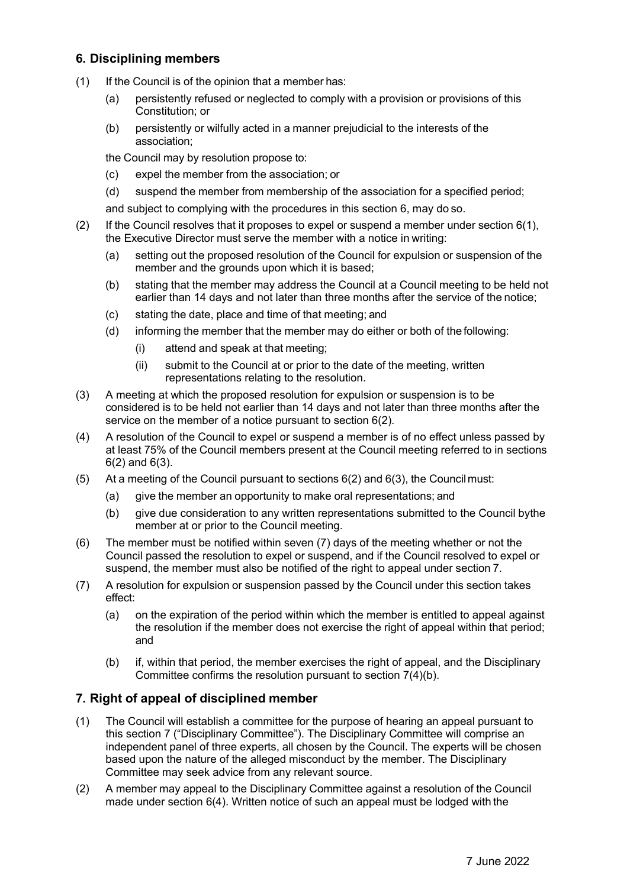# **6. Disciplining members**

- (1) If the Council is of the opinion that a member has:
	- (a) persistently refused or neglected to comply with a provision or provisions of this Constitution; or
	- (b) persistently or wilfully acted in a manner prejudicial to the interests of the association;

the Council may by resolution propose to:

- (c) expel the member from the association; or
- (d) suspend the member from membership of the association for a specified period;

and subject to complying with the procedures in this section 6, may do so.

- (2) If the Council resolves that it proposes to expel or suspend a member under section  $6(1)$ , the Executive Director must serve the member with a notice in writing:
	- (a) setting out the proposed resolution of the Council for expulsion or suspension of the member and the grounds upon which it is based;
	- (b) stating that the member may address the Council at a Council meeting to be held not earlier than 14 days and not later than three months after the service of the notice;
	- (c) stating the date, place and time of that meeting; and
	- (d) informing the member that the member may do either or both of the following:
		- (i) attend and speak at that meeting;
		- (ii) submit to the Council at or prior to the date of the meeting, written representations relating to the resolution.
- (3) A meeting at which the proposed resolution for expulsion or suspension is to be considered is to be held not earlier than 14 days and not later than three months after the service on the member of a notice pursuant to section 6(2).
- (4) A resolution of the Council to expel or suspend a member is of no effect unless passed by at least 75% of the Council members present at the Council meeting referred to in sections 6(2) and 6(3).
- (5) At a meeting of the Council pursuant to sections 6(2) and 6(3), the Council must:
	- (a) give the member an opportunity to make oral representations; and
	- (b) give due consideration to any written representations submitted to the Council bythe member at or prior to the Council meeting.
- (6) The member must be notified within seven (7) days of the meeting whether or not the Council passed the resolution to expel or suspend, and if the Council resolved to expel or suspend, the member must also be notified of the right to appeal under section 7.
- (7) A resolution for expulsion or suspension passed by the Council under this section takes effect:
	- (a) on the expiration of the period within which the member is entitled to appeal against the resolution if the member does not exercise the right of appeal within that period; and
	- (b) if, within that period, the member exercises the right of appeal, and the Disciplinary Committee confirms the resolution pursuant to section 7(4)(b).

## **7. Right of appeal of disciplined member**

- (1) The Council will establish a committee for the purpose of hearing an appeal pursuant to this section 7 ("Disciplinary Committee"). The Disciplinary Committee will comprise an independent panel of three experts, all chosen by the Council. The experts will be chosen based upon the nature of the alleged misconduct by the member. The Disciplinary Committee may seek advice from any relevant source.
- (2) A member may appeal to the Disciplinary Committee against a resolution of the Council made under section 6(4). Written notice of such an appeal must be lodged with the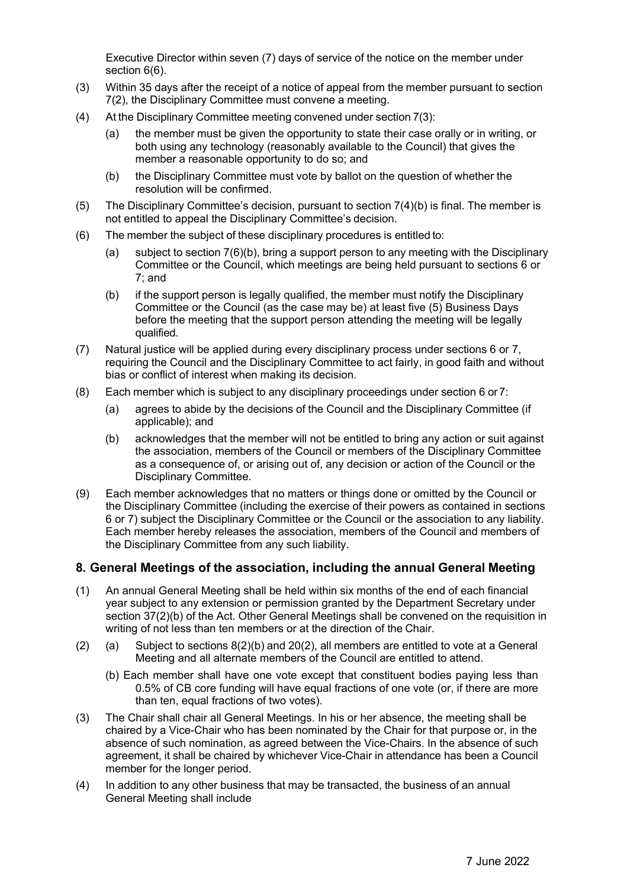Executive Director within seven (7) days of service of the notice on the member under section 6(6).

- (3) Within 35 days after the receipt of a notice of appeal from the member pursuant to section 7(2), the Disciplinary Committee must convene a meeting.
- (4) At the Disciplinary Committee meeting convened under section 7(3):
	- (a) the member must be given the opportunity to state their case orally or in writing, or both using any technology (reasonably available to the Council) that gives the member a reasonable opportunity to do so; and
	- (b) the Disciplinary Committee must vote by ballot on the question of whether the resolution will be confirmed.
- (5) The Disciplinary Committee's decision, pursuant to section 7(4)(b) is final. The member is not entitled to appeal the Disciplinary Committee's decision.
- (6) The member the subject of these disciplinary procedures is entitled to:
	- (a) subject to section 7(6)(b), bring a support person to any meeting with the Disciplinary Committee or the Council, which meetings are being held pursuant to sections 6 or 7; and
	- (b) if the support person is legally qualified, the member must notify the Disciplinary Committee or the Council (as the case may be) at least five (5) Business Days before the meeting that the support person attending the meeting will be legally qualified.
- (7) Natural justice will be applied during every disciplinary process under sections 6 or 7, requiring the Council and the Disciplinary Committee to act fairly, in good faith and without bias or conflict of interest when making its decision.
- (8) Each member which is subject to any disciplinary proceedings under section 6 or7:
	- (a) agrees to abide by the decisions of the Council and the Disciplinary Committee (if applicable); and
	- (b) acknowledges that the member will not be entitled to bring any action or suit against the association, members of the Council or members of the Disciplinary Committee as a consequence of, or arising out of, any decision or action of the Council or the Disciplinary Committee.
- (9) Each member acknowledges that no matters or things done or omitted by the Council or the Disciplinary Committee (including the exercise of their powers as contained in sections 6 or 7) subject the Disciplinary Committee or the Council or the association to any liability. Each member hereby releases the association, members of the Council and members of the Disciplinary Committee from any such liability.

## **8. General Meetings of the association, including the annual General Meeting**

- (1) An annual General Meeting shall be held within six months of the end of each financial year subject to any extension or permission granted by the Department Secretary under section 37(2)(b) of the Act. Other General Meetings shall be convened on the requisition in writing of not less than ten members or at the direction of the Chair.
- (2) (a) Subject to sections  $8(2)(b)$  and  $20(2)$ , all members are entitled to vote at a General Meeting and all alternate members of the Council are entitled to attend.
	- (b) Each member shall have one vote except that constituent bodies paying less than 0.5% of CB core funding will have equal fractions of one vote (or, if there are more than ten, equal fractions of two votes).
- (3) The Chair shall chair all General Meetings. In his or her absence, the meeting shall be chaired by a Vice-Chair who has been nominated by the Chair for that purpose or, in the absence of such nomination, as agreed between the Vice-Chairs. In the absence of such agreement, it shall be chaired by whichever Vice-Chair in attendance has been a Council member for the longer period.
- (4) In addition to any other business that may be transacted, the business of an annual General Meeting shall include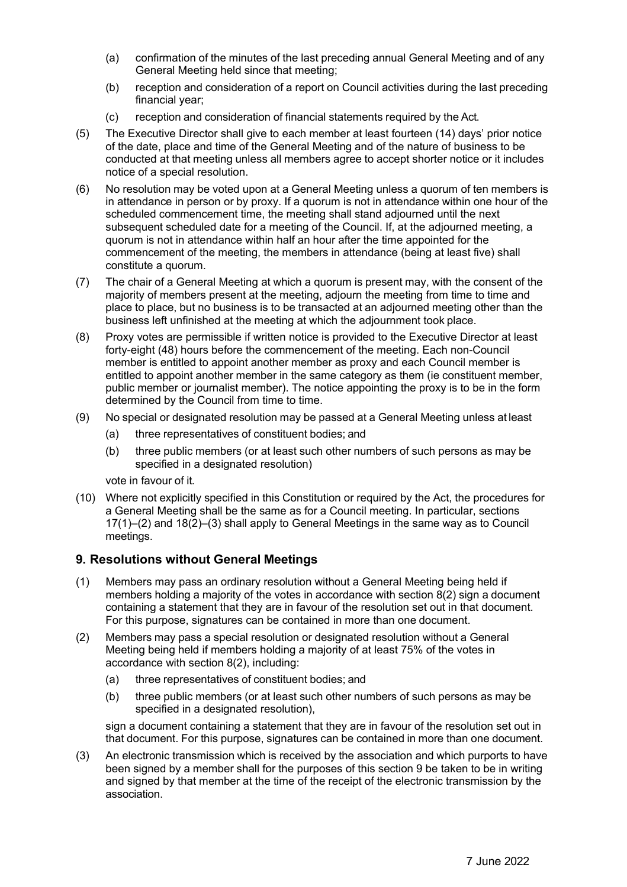- (a) confirmation of the minutes of the last preceding annual General Meeting and of any General Meeting held since that meeting;
- (b) reception and consideration of a report on Council activities during the last preceding financial year;
- (c) reception and consideration of financial statements required by the Act.
- (5) The Executive Director shall give to each member at least fourteen (14) days' prior notice of the date, place and time of the General Meeting and of the nature of business to be conducted at that meeting unless all members agree to accept shorter notice or it includes notice of a special resolution.
- (6) No resolution may be voted upon at a General Meeting unless a quorum of ten members is in attendance in person or by proxy. If a quorum is not in attendance within one hour of the scheduled commencement time, the meeting shall stand adjourned until the next subsequent scheduled date for a meeting of the Council. If, at the adjourned meeting, a quorum is not in attendance within half an hour after the time appointed for the commencement of the meeting, the members in attendance (being at least five) shall constitute a quorum.
- (7) The chair of a General Meeting at which a quorum is present may, with the consent of the majority of members present at the meeting, adjourn the meeting from time to time and place to place, but no business is to be transacted at an adjourned meeting other than the business left unfinished at the meeting at which the adjournment took place.
- (8) Proxy votes are permissible if written notice is provided to the Executive Director at least forty-eight (48) hours before the commencement of the meeting. Each non-Council member is entitled to appoint another member as proxy and each Council member is entitled to appoint another member in the same category as them (ie constituent member, public member or journalist member). The notice appointing the proxy is to be in the form determined by the Council from time to time.
- (9) No special or designated resolution may be passed at a General Meeting unless at least
	- (a) three representatives of constituent bodies; and
	- (b) three public members (or at least such other numbers of such persons as may be specified in a designated resolution)

vote in favour of it.

(10) Where not explicitly specified in this Constitution or required by the Act, the procedures for a General Meeting shall be the same as for a Council meeting. In particular, sections 17(1)–(2) and 18(2)–(3) shall apply to General Meetings in the same way as to Council meetings.

## **9. Resolutions without General Meetings**

- (1) Members may pass an ordinary resolution without a General Meeting being held if members holding a majority of the votes in accordance with section 8(2) sign a document containing a statement that they are in favour of the resolution set out in that document. For this purpose, signatures can be contained in more than one document.
- (2) Members may pass a special resolution or designated resolution without a General Meeting being held if members holding a majority of at least 75% of the votes in accordance with section 8(2), including:
	- (a) three representatives of constituent bodies; and
	- (b) three public members (or at least such other numbers of such persons as may be specified in a designated resolution),

sign a document containing a statement that they are in favour of the resolution set out in that document. For this purpose, signatures can be contained in more than one document.

(3) An electronic transmission which is received by the association and which purports to have been signed by a member shall for the purposes of this section 9 be taken to be in writing and signed by that member at the time of the receipt of the electronic transmission by the association.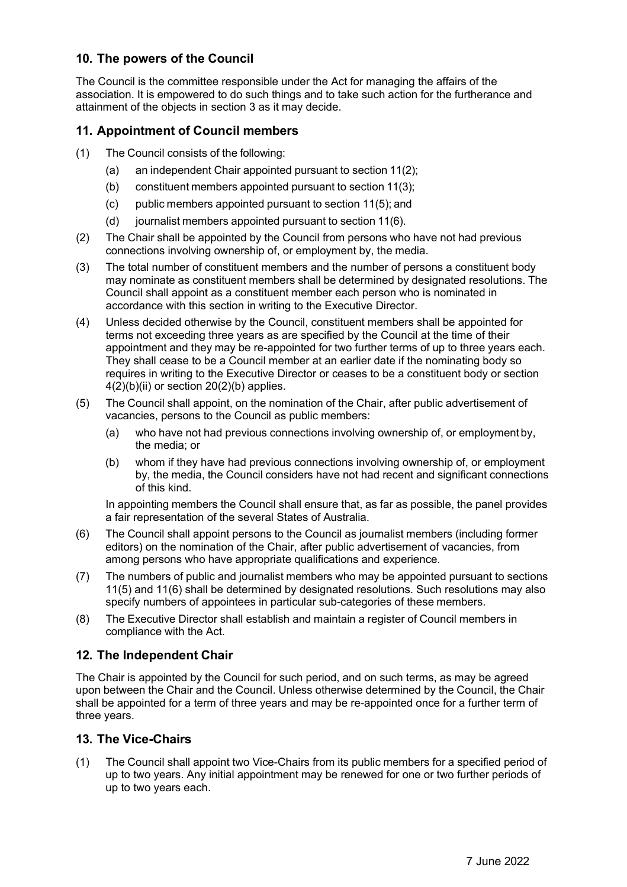# **10. The powers of the Council**

The Council is the committee responsible under the Act for managing the affairs of the association. It is empowered to do such things and to take such action for the furtherance and attainment of the objects in section 3 as it may decide.

## **11. Appointment of Council members**

- (1) The Council consists of the following:
	- (a) an independent Chair appointed pursuant to section 11(2);
	- (b) constituent members appointed pursuant to section 11(3);
	- (c) public members appointed pursuant to section 11(5); and
	- (d) journalist members appointed pursuant to section 11(6).
- (2) The Chair shall be appointed by the Council from persons who have not had previous connections involving ownership of, or employment by, the media.
- (3) The total number of constituent members and the number of persons a constituent body may nominate as constituent members shall be determined by designated resolutions. The Council shall appoint as a constituent member each person who is nominated in accordance with this section in writing to the Executive Director.
- (4) Unless decided otherwise by the Council, constituent members shall be appointed for terms not exceeding three years as are specified by the Council at the time of their appointment and they may be re-appointed for two further terms of up to three years each. They shall cease to be a Council member at an earlier date if the nominating body so requires in writing to the Executive Director or ceases to be a constituent body or section  $4(2)(b)(ii)$  or section  $20(2)(b)$  applies.
- (5) The Council shall appoint, on the nomination of the Chair, after public advertisement of vacancies, persons to the Council as public members:
	- (a) who have not had previous connections involving ownership of, or employment by, the media; or
	- (b) whom if they have had previous connections involving ownership of, or employment by, the media, the Council considers have not had recent and significant connections of this kind.

In appointing members the Council shall ensure that, as far as possible, the panel provides a fair representation of the several States of Australia.

- (6) The Council shall appoint persons to the Council as journalist members (including former editors) on the nomination of the Chair, after public advertisement of vacancies, from among persons who have appropriate qualifications and experience.
- (7) The numbers of public and journalist members who may be appointed pursuant to sections 11(5) and 11(6) shall be determined by designated resolutions. Such resolutions may also specify numbers of appointees in particular sub-categories of these members.
- (8) The Executive Director shall establish and maintain a register of Council members in compliance with the Act.

## **12. The Independent Chair**

The Chair is appointed by the Council for such period, and on such terms, as may be agreed upon between the Chair and the Council. Unless otherwise determined by the Council, the Chair shall be appointed for a term of three years and may be re-appointed once for a further term of three years.

### **13. The Vice-Chairs**

(1) The Council shall appoint two Vice-Chairs from its public members for a specified period of up to two years. Any initial appointment may be renewed for one or two further periods of up to two years each.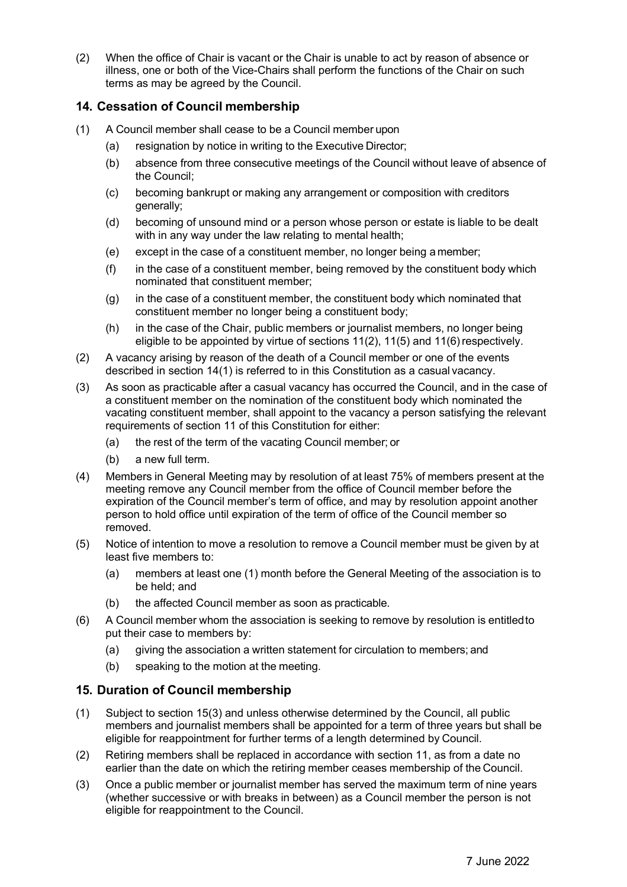(2) When the office of Chair is vacant or the Chair is unable to act by reason of absence or illness, one or both of the Vice-Chairs shall perform the functions of the Chair on such terms as may be agreed by the Council.

### **14. Cessation of Council membership**

- (1) A Council member shall cease to be a Council member upon
	- (a) resignation by notice in writing to the Executive Director;
	- (b) absence from three consecutive meetings of the Council without leave of absence of the Council;
	- (c) becoming bankrupt or making any arrangement or composition with creditors generally;
	- (d) becoming of unsound mind or a person whose person or estate is liable to be dealt with in any way under the law relating to mental health;
	- (e) except in the case of a constituent member, no longer being a member;
	- (f) in the case of a constituent member, being removed by the constituent body which nominated that constituent member;
	- (g) in the case of a constituent member, the constituent body which nominated that constituent member no longer being a constituent body;
	- (h) in the case of the Chair, public members or journalist members, no longer being eligible to be appointed by virtue of sections 11(2), 11(5) and 11(6)respectively.
- (2) A vacancy arising by reason of the death of a Council member or one of the events described in section 14(1) is referred to in this Constitution as a casual vacancy.
- (3) As soon as practicable after a casual vacancy has occurred the Council, and in the case of a constituent member on the nomination of the constituent body which nominated the vacating constituent member, shall appoint to the vacancy a person satisfying the relevant requirements of section 11 of this Constitution for either:
	- (a) the rest of the term of the vacating Council member; or
	- (b) a new full term.
- (4) Members in General Meeting may by resolution of at least 75% of members present at the meeting remove any Council member from the office of Council member before the expiration of the Council member's term of office, and may by resolution appoint another person to hold office until expiration of the term of office of the Council member so removed.
- (5) Notice of intention to move a resolution to remove a Council member must be given by at least five members to:
	- (a) members at least one (1) month before the General Meeting of the association is to be held; and
	- (b) the affected Council member as soon as practicable.
- (6) A Council member whom the association is seeking to remove by resolution is entitledto put their case to members by:
	- (a) giving the association a written statement for circulation to members; and
	- (b) speaking to the motion at the meeting.

#### **15. Duration of Council membership**

- (1) Subject to section 15(3) and unless otherwise determined by the Council, all public members and journalist members shall be appointed for a term of three years but shall be eligible for reappointment for further terms of a length determined by Council.
- (2) Retiring members shall be replaced in accordance with section 11, as from a date no earlier than the date on which the retiring member ceases membership of the Council.
- (3) Once a public member or journalist member has served the maximum term of nine years (whether successive or with breaks in between) as a Council member the person is not eligible for reappointment to the Council.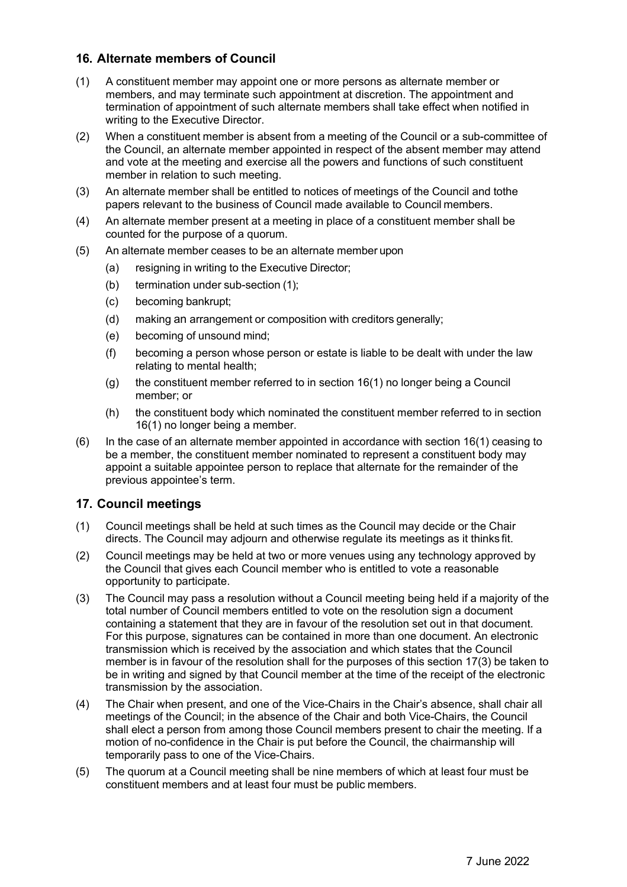## **16. Alternate members of Council**

- (1) A constituent member may appoint one or more persons as alternate member or members, and may terminate such appointment at discretion. The appointment and termination of appointment of such alternate members shall take effect when notified in writing to the Executive Director.
- (2) When a constituent member is absent from a meeting of the Council or a sub-committee of the Council, an alternate member appointed in respect of the absent member may attend and vote at the meeting and exercise all the powers and functions of such constituent member in relation to such meeting.
- (3) An alternate member shall be entitled to notices of meetings of the Council and tothe papers relevant to the business of Council made available to Council members.
- (4) An alternate member present at a meeting in place of a constituent member shall be counted for the purpose of a quorum.
- (5) An alternate member ceases to be an alternate member upon
	- (a) resigning in writing to the Executive Director;
	- (b) termination under sub-section (1);
	- (c) becoming bankrupt;
	- (d) making an arrangement or composition with creditors generally;
	- (e) becoming of unsound mind;
	- (f) becoming a person whose person or estate is liable to be dealt with under the law relating to mental health;
	- (g) the constituent member referred to in section 16(1) no longer being a Council member; or
	- (h) the constituent body which nominated the constituent member referred to in section 16(1) no longer being a member.
- (6) In the case of an alternate member appointed in accordance with section 16(1) ceasing to be a member, the constituent member nominated to represent a constituent body may appoint a suitable appointee person to replace that alternate for the remainder of the previous appointee's term.

## **17. Council meetings**

- (1) Council meetings shall be held at such times as the Council may decide or the Chair directs. The Council may adjourn and otherwise regulate its meetings as it thinks fit.
- (2) Council meetings may be held at two or more venues using any technology approved by the Council that gives each Council member who is entitled to vote a reasonable opportunity to participate.
- (3) The Council may pass a resolution without a Council meeting being held if a majority of the total number of Council members entitled to vote on the resolution sign a document containing a statement that they are in favour of the resolution set out in that document. For this purpose, signatures can be contained in more than one document. An electronic transmission which is received by the association and which states that the Council member is in favour of the resolution shall for the purposes of this section 17(3) be taken to be in writing and signed by that Council member at the time of the receipt of the electronic transmission by the association.
- (4) The Chair when present, and one of the Vice-Chairs in the Chair's absence, shall chair all meetings of the Council; in the absence of the Chair and both Vice-Chairs, the Council shall elect a person from among those Council members present to chair the meeting. If a motion of no-confidence in the Chair is put before the Council, the chairmanship will temporarily pass to one of the Vice-Chairs.
- (5) The quorum at a Council meeting shall be nine members of which at least four must be constituent members and at least four must be public members.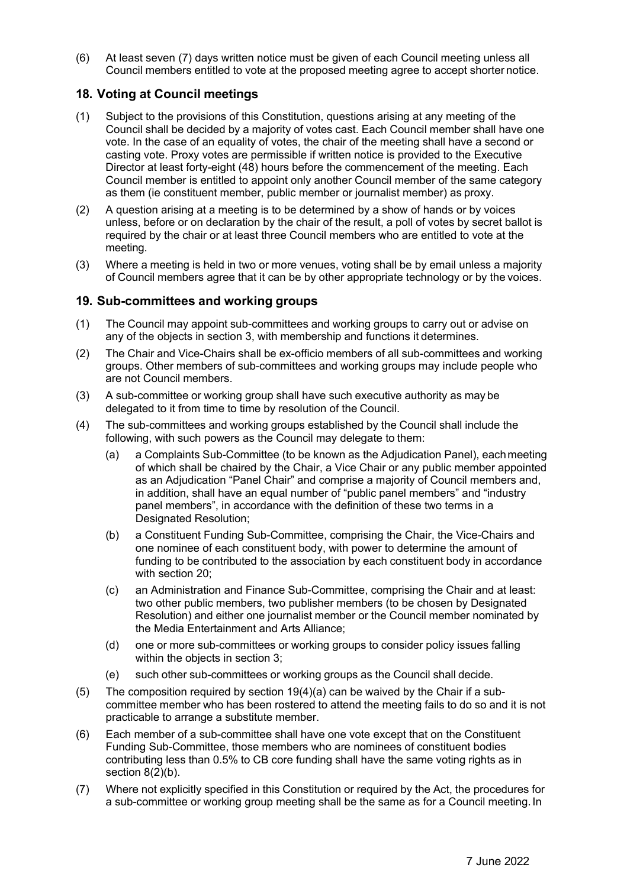(6) At least seven (7) days written notice must be given of each Council meeting unless all Council members entitled to vote at the proposed meeting agree to accept shorter notice.

## **18. Voting at Council meetings**

- (1) Subject to the provisions of this Constitution, questions arising at any meeting of the Council shall be decided by a majority of votes cast. Each Council member shall have one vote. In the case of an equality of votes, the chair of the meeting shall have a second or casting vote. Proxy votes are permissible if written notice is provided to the Executive Director at least forty-eight (48) hours before the commencement of the meeting. Each Council member is entitled to appoint only another Council member of the same category as them (ie constituent member, public member or journalist member) as proxy.
- (2) A question arising at a meeting is to be determined by a show of hands or by voices unless, before or on declaration by the chair of the result, a poll of votes by secret ballot is required by the chair or at least three Council members who are entitled to vote at the meeting.
- (3) Where a meeting is held in two or more venues, voting shall be by email unless a majority of Council members agree that it can be by other appropriate technology or by the voices.

#### **19. Sub-committees and working groups**

- (1) The Council may appoint sub-committees and working groups to carry out or advise on any of the objects in section 3, with membership and functions it determines.
- (2) The Chair and Vice-Chairs shall be ex-officio members of all sub-committees and working groups. Other members of sub-committees and working groups may include people who are not Council members.
- (3) A sub-committee or working group shall have such executive authority as may be delegated to it from time to time by resolution of the Council.
- (4) The sub-committees and working groups established by the Council shall include the following, with such powers as the Council may delegate to them:
	- (a) a Complaints Sub-Committee (to be known as the Adjudication Panel), eachmeeting of which shall be chaired by the Chair, a Vice Chair or any public member appointed as an Adjudication "Panel Chair" and comprise a majority of Council members and, in addition, shall have an equal number of "public panel members" and "industry panel members", in accordance with the definition of these two terms in a Designated Resolution;
	- (b) a Constituent Funding Sub-Committee, comprising the Chair, the Vice-Chairs and one nominee of each constituent body, with power to determine the amount of funding to be contributed to the association by each constituent body in accordance with section 20;
	- (c) an Administration and Finance Sub-Committee, comprising the Chair and at least: two other public members, two publisher members (to be chosen by Designated Resolution) and either one journalist member or the Council member nominated by the Media Entertainment and Arts Alliance;
	- (d) one or more sub-committees or working groups to consider policy issues falling within the objects in section 3;
	- (e) such other sub-committees or working groups as the Council shall decide.
- (5) The composition required by section 19(4)(a) can be waived by the Chair if a subcommittee member who has been rostered to attend the meeting fails to do so and it is not practicable to arrange a substitute member.
- (6) Each member of a sub-committee shall have one vote except that on the Constituent Funding Sub-Committee, those members who are nominees of constituent bodies contributing less than 0.5% to CB core funding shall have the same voting rights as in section  $8(2)(b)$ .
- (7) Where not explicitly specified in this Constitution or required by the Act, the procedures for a sub-committee or working group meeting shall be the same as for a Council meeting. In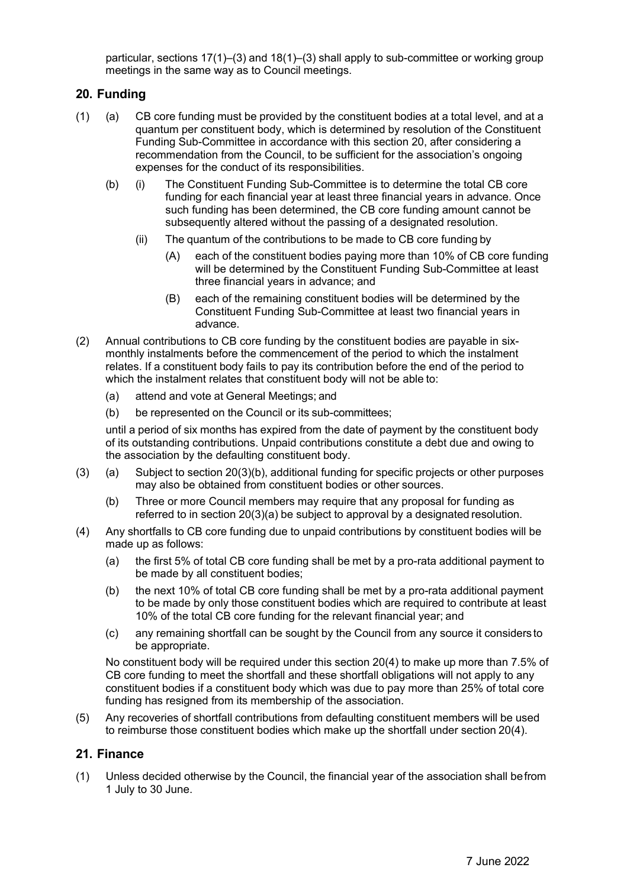particular, sections 17(1)–(3) and 18(1)–(3) shall apply to sub-committee or working group meetings in the same way as to Council meetings.

## **20. Funding**

- (1) (a) CB core funding must be provided by the constituent bodies at a total level, and at a quantum per constituent body, which is determined by resolution of the Constituent Funding Sub-Committee in accordance with this section 20, after considering a recommendation from the Council, to be sufficient for the association's ongoing expenses for the conduct of its responsibilities.
	- (b) (i) The Constituent Funding Sub-Committee is to determine the total CB core funding for each financial year at least three financial years in advance. Once such funding has been determined, the CB core funding amount cannot be subsequently altered without the passing of a designated resolution.
		- (ii) The quantum of the contributions to be made to CB core funding by
			- (A) each of the constituent bodies paying more than 10% of CB core funding will be determined by the Constituent Funding Sub-Committee at least three financial years in advance; and
			- (B) each of the remaining constituent bodies will be determined by the Constituent Funding Sub-Committee at least two financial years in advance.
- (2) Annual contributions to CB core funding by the constituent bodies are payable in sixmonthly instalments before the commencement of the period to which the instalment relates. If a constituent body fails to pay its contribution before the end of the period to which the instalment relates that constituent body will not be able to:
	- (a) attend and vote at General Meetings; and
	- (b) be represented on the Council or its sub-committees;

until a period of six months has expired from the date of payment by the constituent body of its outstanding contributions. Unpaid contributions constitute a debt due and owing to the association by the defaulting constituent body.

- (3) (a) Subject to section 20(3)(b), additional funding for specific projects or other purposes may also be obtained from constituent bodies or other sources.
	- (b) Three or more Council members may require that any proposal for funding as referred to in section 20(3)(a) be subject to approval by a designated resolution.
- (4) Any shortfalls to CB core funding due to unpaid contributions by constituent bodies will be made up as follows:
	- (a) the first 5% of total CB core funding shall be met by a pro-rata additional payment to be made by all constituent bodies;
	- (b) the next 10% of total CB core funding shall be met by a pro-rata additional payment to be made by only those constituent bodies which are required to contribute at least 10% of the total CB core funding for the relevant financial year; and
	- (c) any remaining shortfall can be sought by the Council from any source it considers to be appropriate.

No constituent body will be required under this section 20(4) to make up more than 7.5% of CB core funding to meet the shortfall and these shortfall obligations will not apply to any constituent bodies if a constituent body which was due to pay more than 25% of total core funding has resigned from its membership of the association.

(5) Any recoveries of shortfall contributions from defaulting constituent members will be used to reimburse those constituent bodies which make up the shortfall under section 20(4).

## **21. Finance**

(1) Unless decided otherwise by the Council, the financial year of the association shall befrom 1 July to 30 June.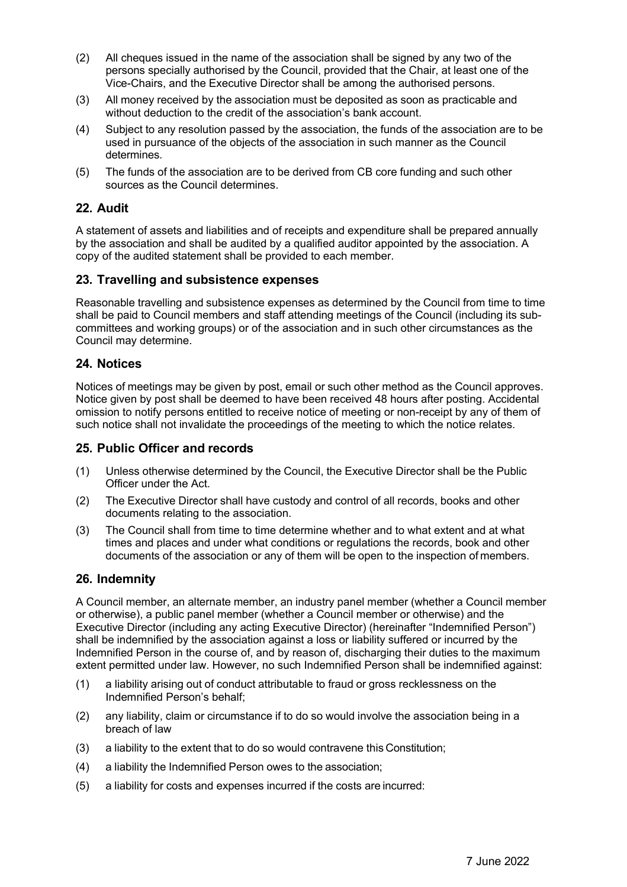- (2) All cheques issued in the name of the association shall be signed by any two of the persons specially authorised by the Council, provided that the Chair, at least one of the Vice-Chairs, and the Executive Director shall be among the authorised persons.
- (3) All money received by the association must be deposited as soon as practicable and without deduction to the credit of the association's bank account.
- (4) Subject to any resolution passed by the association, the funds of the association are to be used in pursuance of the objects of the association in such manner as the Council determines.
- (5) The funds of the association are to be derived from CB core funding and such other sources as the Council determines.

### **22. Audit**

A statement of assets and liabilities and of receipts and expenditure shall be prepared annually by the association and shall be audited by a qualified auditor appointed by the association. A copy of the audited statement shall be provided to each member.

#### **23. Travelling and subsistence expenses**

Reasonable travelling and subsistence expenses as determined by the Council from time to time shall be paid to Council members and staff attending meetings of the Council (including its subcommittees and working groups) or of the association and in such other circumstances as the Council may determine.

#### **24. Notices**

Notices of meetings may be given by post, email or such other method as the Council approves. Notice given by post shall be deemed to have been received 48 hours after posting. Accidental omission to notify persons entitled to receive notice of meeting or non-receipt by any of them of such notice shall not invalidate the proceedings of the meeting to which the notice relates.

#### **25. Public Officer and records**

- (1) Unless otherwise determined by the Council, the Executive Director shall be the Public Officer under the Act.
- (2) The Executive Director shall have custody and control of all records, books and other documents relating to the association.
- (3) The Council shall from time to time determine whether and to what extent and at what times and places and under what conditions or regulations the records, book and other documents of the association or any of them will be open to the inspection of members.

#### **26. Indemnity**

A Council member, an alternate member, an industry panel member (whether a Council member or otherwise), a public panel member (whether a Council member or otherwise) and the Executive Director (including any acting Executive Director) (hereinafter "Indemnified Person") shall be indemnified by the association against a loss or liability suffered or incurred by the Indemnified Person in the course of, and by reason of, discharging their duties to the maximum extent permitted under law. However, no such Indemnified Person shall be indemnified against:

- (1) a liability arising out of conduct attributable to fraud or gross recklessness on the Indemnified Person's behalf;
- (2) any liability, claim or circumstance if to do so would involve the association being in a breach of law
- (3) a liability to the extent that to do so would contravene this Constitution;
- (4) a liability the Indemnified Person owes to the association;
- (5) a liability for costs and expenses incurred if the costs are incurred: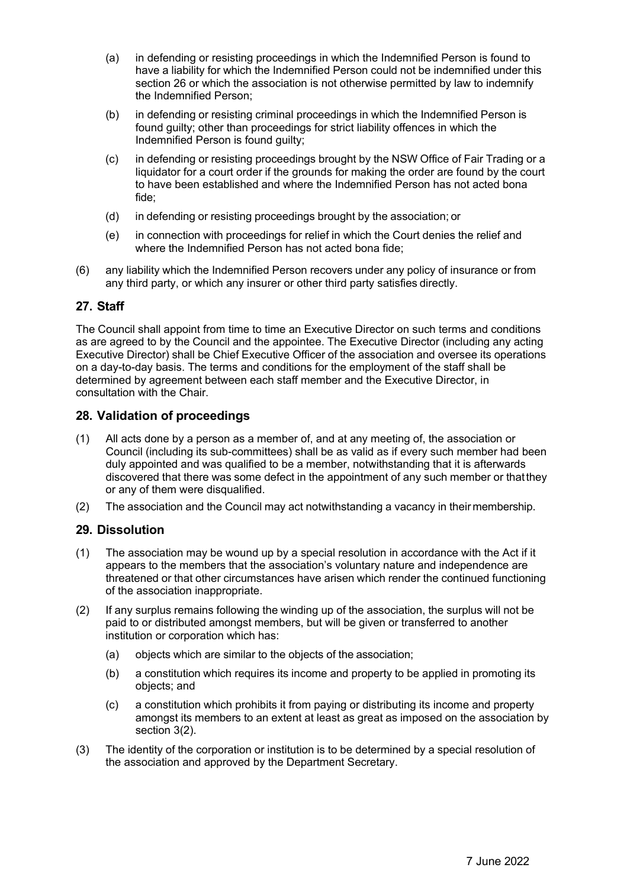- (a) in defending or resisting proceedings in which the Indemnified Person is found to have a liability for which the Indemnified Person could not be indemnified under this section 26 or which the association is not otherwise permitted by law to indemnify the Indemnified Person;
- (b) in defending or resisting criminal proceedings in which the Indemnified Person is found guilty; other than proceedings for strict liability offences in which the Indemnified Person is found guilty;
- (c) in defending or resisting proceedings brought by the NSW Office of Fair Trading or a liquidator for a court order if the grounds for making the order are found by the court to have been established and where the Indemnified Person has not acted bona fide;
- (d) in defending or resisting proceedings brought by the association; or
- (e) in connection with proceedings for relief in which the Court denies the relief and where the Indemnified Person has not acted bona fide;
- (6) any liability which the Indemnified Person recovers under any policy of insurance or from any third party, or which any insurer or other third party satisfies directly.

## **27. Staff**

The Council shall appoint from time to time an Executive Director on such terms and conditions as are agreed to by the Council and the appointee. The Executive Director (including any acting Executive Director) shall be Chief Executive Officer of the association and oversee its operations on a day-to-day basis. The terms and conditions for the employment of the staff shall be determined by agreement between each staff member and the Executive Director, in consultation with the Chair.

## **28. Validation of proceedings**

- (1) All acts done by a person as a member of, and at any meeting of, the association or Council (including its sub-committees) shall be as valid as if every such member had been duly appointed and was qualified to be a member, notwithstanding that it is afterwards discovered that there was some defect in the appointment of any such member or thatthey or any of them were disqualified.
- (2) The association and the Council may act notwithstanding a vacancy in their membership.

## **29. Dissolution**

- (1) The association may be wound up by a special resolution in accordance with the Act if it appears to the members that the association's voluntary nature and independence are threatened or that other circumstances have arisen which render the continued functioning of the association inappropriate.
- (2) If any surplus remains following the winding up of the association, the surplus will not be paid to or distributed amongst members, but will be given or transferred to another institution or corporation which has:
	- (a) objects which are similar to the objects of the association;
	- (b) a constitution which requires its income and property to be applied in promoting its objects; and
	- (c) a constitution which prohibits it from paying or distributing its income and property amongst its members to an extent at least as great as imposed on the association by section 3(2).
- (3) The identity of the corporation or institution is to be determined by a special resolution of the association and approved by the Department Secretary.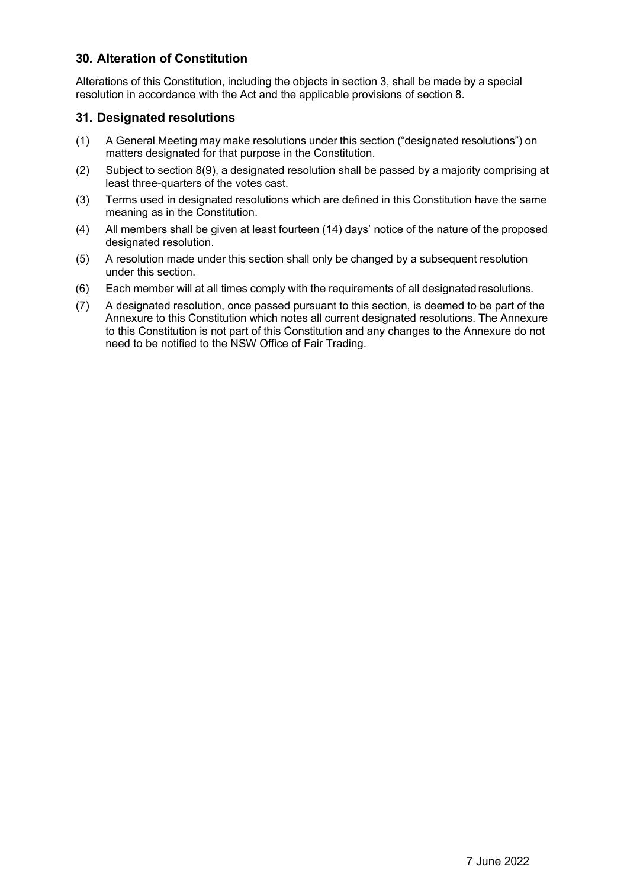## **30. Alteration of Constitution**

Alterations of this Constitution, including the objects in section 3, shall be made by a special resolution in accordance with the Act and the applicable provisions of section 8.

# **31. Designated resolutions**

- (1) A General Meeting may make resolutions under this section ("designated resolutions") on matters designated for that purpose in the Constitution.
- (2) Subject to section 8(9), a designated resolution shall be passed by a majority comprising at least three-quarters of the votes cast.
- (3) Terms used in designated resolutions which are defined in this Constitution have the same meaning as in the Constitution.
- (4) All members shall be given at least fourteen (14) days' notice of the nature of the proposed designated resolution.
- (5) A resolution made under this section shall only be changed by a subsequent resolution under this section.
- (6) Each member will at all times comply with the requirements of all designated resolutions.
- (7) A designated resolution, once passed pursuant to this section, is deemed to be part of the Annexure to this Constitution which notes all current designated resolutions. The Annexure to this Constitution is not part of this Constitution and any changes to the Annexure do not need to be notified to the NSW Office of Fair Trading.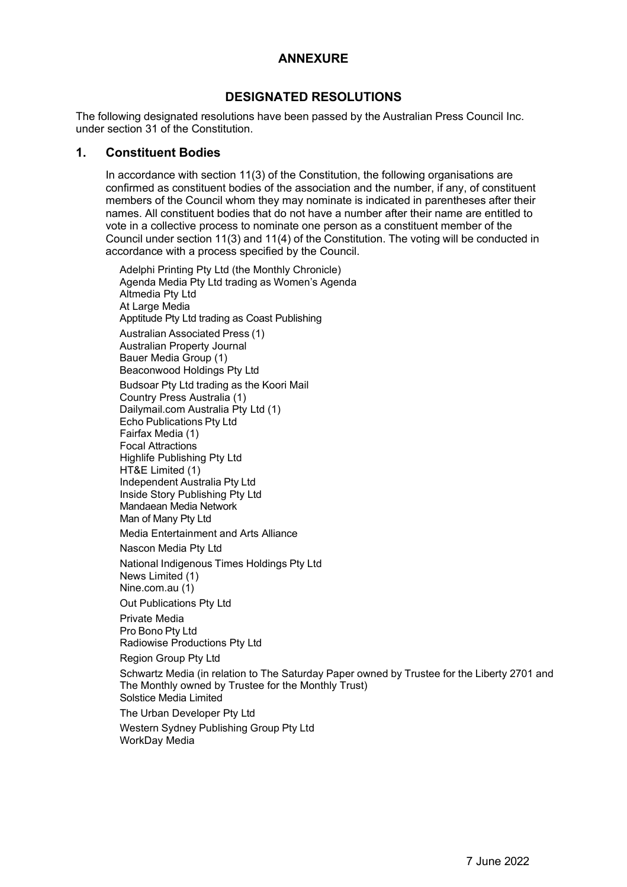# **ANNEXURE**

# **DESIGNATED RESOLUTIONS**

The following designated resolutions have been passed by the Australian Press Council Inc. under section 31 of the Constitution.

## **1. Constituent Bodies**

In accordance with section 11(3) of the Constitution, the following organisations are confirmed as constituent bodies of the association and the number, if any, of constituent members of the Council whom they may nominate is indicated in parentheses after their names. All constituent bodies that do not have a number after their name are entitled to vote in a collective process to nominate one person as a constituent member of the Council under section 11(3) and 11(4) of the Constitution. The voting will be conducted in accordance with a process specified by the Council.

Adelphi Printing Pty Ltd (the Monthly Chronicle) Agenda Media Pty Ltd trading as Women's Agenda Altmedia Pty Ltd At Large Media Apptitude Pty Ltd trading as Coast Publishing Australian Associated Press (1) Australian Property Journal Bauer Media Group (1) Beaconwood Holdings Pty Ltd Budsoar Pty Ltd trading as the Koori Mail Country Press Australia (1) Dailymail.com Australia Pty Ltd (1) Echo Publications Pty Ltd Fairfax Media (1) Focal Attractions Highlife Publishing Pty Ltd HT&E Limited (1) Independent Australia Pty Ltd Inside Story Publishing Pty Ltd Mandaean Media Network Man of Many Pty Ltd Media Entertainment and Arts Alliance Nascon Media Pty Ltd National Indigenous Times Holdings Pty Ltd News Limited (1)

Nine.com.au (1) Out Publications Pty Ltd

Private Media Pro Bono Pty Ltd Radiowise Productions Pty Ltd

Region Group Pty Ltd

Schwartz Media (in relation to The Saturday Paper owned by Trustee for the Liberty 2701 and The Monthly owned by Trustee for the Monthly Trust) Solstice Media Limited

The Urban Developer Pty Ltd

Western Sydney Publishing Group Pty Ltd WorkDay Media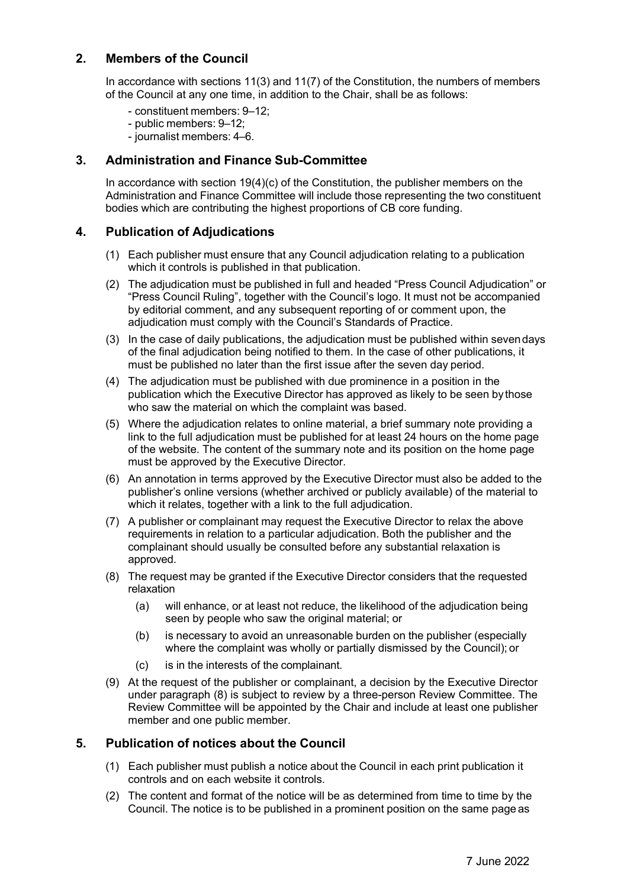## **2. Members of the Council**

In accordance with sections 11(3) and 11(7) of the Constitution, the numbers of members of the Council at any one time, in addition to the Chair, shall be as follows:

- constituent members: 9–12;
- public members: 9–12;
- journalist members: 4–6.

## **3. Administration and Finance Sub-Committee**

In accordance with section  $19(4)(c)$  of the Constitution, the publisher members on the Administration and Finance Committee will include those representing the two constituent bodies which are contributing the highest proportions of CB core funding.

### **4. Publication of Adjudications**

- (1) Each publisher must ensure that any Council adjudication relating to a publication which it controls is published in that publication.
- (2) The adjudication must be published in full and headed "Press Council Adjudication" or "Press Council Ruling", together with the Council's logo. It must not be accompanied by editorial comment, and any subsequent reporting of or comment upon, the adjudication must comply with the Council's Standards of Practice.
- (3) In the case of daily publications, the adjudication must be published within sevendays of the final adjudication being notified to them. In the case of other publications, it must be published no later than the first issue after the seven day period.
- (4) The adjudication must be published with due prominence in a position in the publication which the Executive Director has approved as likely to be seen bythose who saw the material on which the complaint was based.
- (5) Where the adjudication relates to online material, a brief summary note providing a link to the full adjudication must be published for at least 24 hours on the home page of the website. The content of the summary note and its position on the home page must be approved by the Executive Director.
- (6) An annotation in terms approved by the Executive Director must also be added to the publisher's online versions (whether archived or publicly available) of the material to which it relates, together with a link to the full adjudication.
- (7) A publisher or complainant may request the Executive Director to relax the above requirements in relation to a particular adjudication. Both the publisher and the complainant should usually be consulted before any substantial relaxation is approved.
- (8) The request may be granted if the Executive Director considers that the requested relaxation
	- (a) will enhance, or at least not reduce, the likelihood of the adjudication being seen by people who saw the original material; or
	- (b) is necessary to avoid an unreasonable burden on the publisher (especially where the complaint was wholly or partially dismissed by the Council); or
	- (c) is in the interests of the complainant.
- (9) At the request of the publisher or complainant, a decision by the Executive Director under paragraph (8) is subject to review by a three-person Review Committee. The Review Committee will be appointed by the Chair and include at least one publisher member and one public member.

## **5. Publication of notices about the Council**

- (1) Each publisher must publish a notice about the Council in each print publication it controls and on each website it controls.
- (2) The content and format of the notice will be as determined from time to time by the Council. The notice is to be published in a prominent position on the same page as